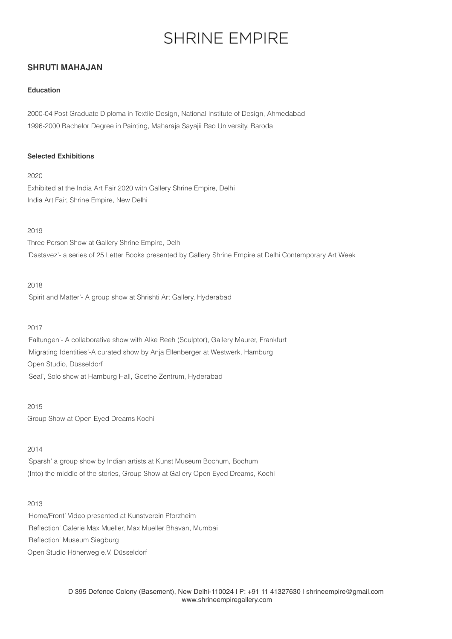# **SHRINE EMPIRE**

## **SHRUTI MAHAJAN**

## **Education**

2000-04 Post Graduate Diploma in Textile Design, National Institute of Design, Ahmedabad 1996-2000 Bachelor Degree in Painting, Maharaja Sayajii Rao University, Baroda

## **Selected Exhibitions**

2020

Exhibited at the India Art Fair 2020 with Gallery Shrine Empire, Delhi India Art Fair, Shrine Empire, New Delhi

## 2019

Three Person Show at Gallery Shrine Empire, Delhi 'Dastavez'- a series of 25 Letter Books presented by Gallery Shrine Empire at Delhi Contemporary Art Week

## 2018

'Spirit and Matter'- A group show at Shrishti Art Gallery, Hyderabad

## 2017

'Faltungen'- A collaborative show with Alke Reeh (Sculptor), Gallery Maurer, Frankfurt 'Migrating Identities'-A curated show by Anja Ellenberger at Westwerk, Hamburg Open Studio, Düsseldorf 'Seal', Solo show at Hamburg Hall, Goethe Zentrum, Hyderabad

2015 Group Show at Open Eyed Dreams Kochi

## 2014

'Sparsh' a group show by Indian artists at Kunst Museum Bochum, Bochum (Into) the middle of the stories, Group Show at Gallery Open Eyed Dreams, Kochi

## 2013

'Home/Front' Video presented at Kunstverein Pforzheim 'Reflection' Galerie Max Mueller, Max Mueller Bhavan, Mumbai 'Reflection' Museum Siegburg Open Studio Höherweg e.V. Düsseldorf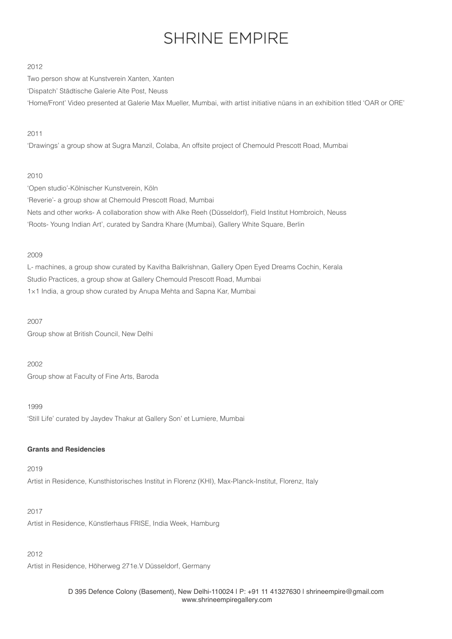# **SHRINE EMPIRE**

## 2012

Two person show at Kunstverein Xanten, Xanten 'Dispatch' Städtische Galerie Alte Post, Neuss 'Home/Front' Video presented at Galerie Max Mueller, Mumbai, with artist initiative nüans in an exhibition titled 'OAR or ORE'

## 2011

'Drawings' a group show at Sugra Manzil, Colaba, An offsite project of Chemould Prescott Road, Mumbai

#### 2010

'Open studio'-Kӧlnischer Kunstverein, Kӧln 'Reverie'- a group show at Chemould Prescott Road, Mumbai Nets and other works- A collaboration show with Alke Reeh (Düsseldorf), Field Institut Hombroich, Neuss 'Roots- Young Indian Art', curated by Sandra Khare (Mumbai), Gallery White Square, Berlin

## 2009

L- machines, a group show curated by Kavitha Balkrishnan, Gallery Open Eyed Dreams Cochin, Kerala Studio Practices, a group show at Gallery Chemould Prescott Road, Mumbai 1×1 India, a group show curated by Anupa Mehta and Sapna Kar, Mumbai

2007 Group show at British Council, New Delhi

2002

Group show at Faculty of Fine Arts, Baroda

1999 'Still Life' curated by Jaydev Thakur at Gallery Son' et Lumiere, Mumbai

## **Grants and Residencies**

## 2019

Artist in Residence, Kunsthistorisches Institut in Florenz (KHI), Max-Planck-Institut, Florenz, Italy

#### 2017

Artist in Residence, Künstlerhaus FRISE, India Week, Hamburg

## 2012

Artist in Residence, Höherweg 271e.V Düsseldorf, Germany

D 395 Defence Colony (Basement), New Delhi-110024 | P: +91 11 41327630 | shrineempire@gmail.com  [www.shrineempiregallery.com](http://www.shrineempiregallery.com)